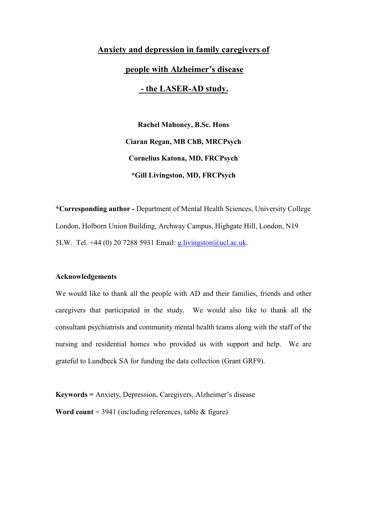# Anxiety and depression in family caregivers of people with Alzheimer's disease - the LASER-AD study.

Rachel Mahoney, B.Sc. Hons Ciaran Regan, MB ChB, MRCPsych Cornelius Katona, MD, FRCPsych \*Gill Livingston, MD, FRCPsych

\*Corresponding author - Department of Mental Health Sciences, University College London, Holborn Union Building, Archway Campus, Highgate Hill, London, N19 5LW. Tel. +44 (0) 20 7288 5931 Email: g.livingston@ucl.ac.uk.

### Acknowledgements

We would like to thank all the people with AD and their families, friends and other caregivers that participated in the study. We would also like to thank all the consultant psychiatrists and community mental health teams along with the staff of the nursing and residential homes who provided us with support and help. We are grateful to Lundbeck SA for funding the data collection (Grant GRF9).

Keywords = Anxiety, Depression, Caregivers, Alzheimer's disease

Word count =  $3941$  (including references, table & figure)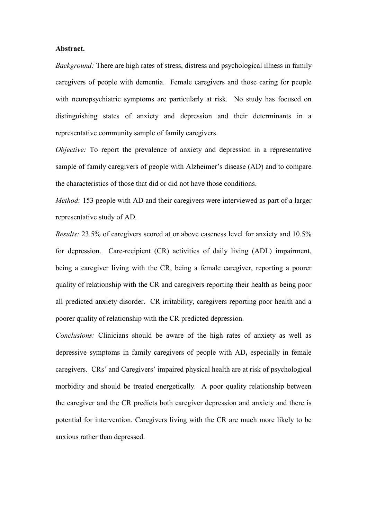### Abstract.

Background: There are high rates of stress, distress and psychological illness in family caregivers of people with dementia. Female caregivers and those caring for people with neuropsychiatric symptoms are particularly at risk. No study has focused on distinguishing states of anxiety and depression and their determinants in a representative community sample of family caregivers.

Objective: To report the prevalence of anxiety and depression in a representative sample of family caregivers of people with Alzheimer's disease (AD) and to compare the characteristics of those that did or did not have those conditions.

Method: 153 people with AD and their caregivers were interviewed as part of a larger representative study of AD.

Results: 23.5% of caregivers scored at or above caseness level for anxiety and 10.5% for depression. Care-recipient (CR) activities of daily living (ADL) impairment, being a caregiver living with the CR, being a female caregiver, reporting a poorer quality of relationship with the CR and caregivers reporting their health as being poor all predicted anxiety disorder. CR irritability, caregivers reporting poor health and a poorer quality of relationship with the CR predicted depression.

Conclusions: Clinicians should be aware of the high rates of anxiety as well as depressive symptoms in family caregivers of people with AD, especially in female caregivers. CRs' and Caregivers' impaired physical health are at risk of psychological morbidity and should be treated energetically. A poor quality relationship between the caregiver and the CR predicts both caregiver depression and anxiety and there is potential for intervention. Caregivers living with the CR are much more likely to be anxious rather than depressed.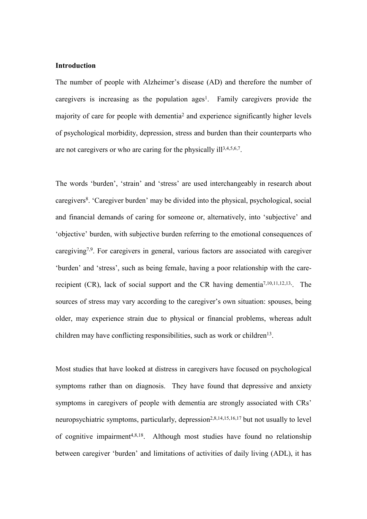## **Introduction**

The number of people with Alzheimer's disease (AD) and therefore the number of caregivers is increasing as the population  $ages<sup>1</sup>$ . Family caregivers provide the majority of care for people with dementia<sup>2</sup> and experience significantly higher levels of psychological morbidity, depression, stress and burden than their counterparts who are not caregivers or who are caring for the physically ill<sup>3,4,5,6,7</sup>.

The words 'burden', 'strain' and 'stress' are used interchangeably in research about caregivers<sup>8</sup>. 'Caregiver burden' may be divided into the physical, psychological, social and financial demands of caring for someone or, alternatively, into 'subjective' and 'objective' burden, with subjective burden referring to the emotional consequences of caregiving7,9. For caregivers in general, various factors are associated with caregiver 'burden' and 'stress', such as being female, having a poor relationship with the carerecipient  $(CR)$ , lack of social support and the CR having dementia<sup>7,10,11,12,13</sup>. The sources of stress may vary according to the caregiver's own situation: spouses, being older, may experience strain due to physical or financial problems, whereas adult children may have conflicting responsibilities, such as work or children<sup>13</sup>.

Most studies that have looked at distress in caregivers have focused on psychological symptoms rather than on diagnosis. They have found that depressive and anxiety symptoms in caregivers of people with dementia are strongly associated with CRs' neuropsychiatric symptoms, particularly, depression<sup>2,8,14,15,16,17</sup> but not usually to level of cognitive impairment4,8,18. Although most studies have found no relationship between caregiver 'burden' and limitations of activities of daily living (ADL), it has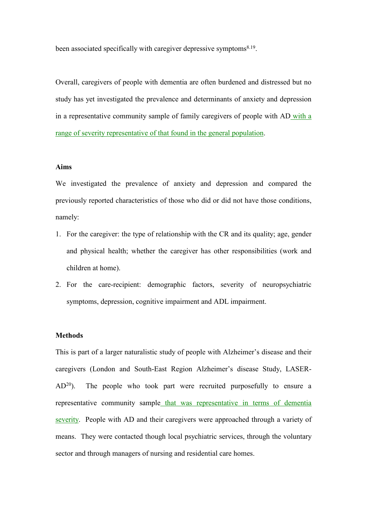been associated specifically with caregiver depressive symptoms<sup>8.19</sup>.

Overall, caregivers of people with dementia are often burdened and distressed but no study has yet investigated the prevalence and determinants of anxiety and depression in a representative community sample of family caregivers of people with AD with a range of severity representative of that found in the general population.

## Aims

We investigated the prevalence of anxiety and depression and compared the previously reported characteristics of those who did or did not have those conditions, namely:

- 1. For the caregiver: the type of relationship with the CR and its quality; age, gender and physical health; whether the caregiver has other responsibilities (work and children at home).
- 2. For the care-recipient: demographic factors, severity of neuropsychiatric symptoms, depression, cognitive impairment and ADL impairment.

## **Methods**

This is part of a larger naturalistic study of people with Alzheimer's disease and their caregivers (London and South-East Region Alzheimer's disease Study, LASER-AD<sup>20</sup>). The people who took part were recruited purposefully to ensure a representative community sample that was representative in terms of dementia severity. People with AD and their caregivers were approached through a variety of means. They were contacted though local psychiatric services, through the voluntary sector and through managers of nursing and residential care homes.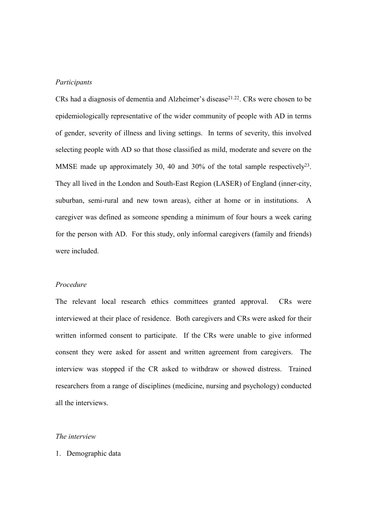## Participants

CRs had a diagnosis of dementia and Alzheimer's disease<sup>21.22</sup>. CRs were chosen to be epidemiologically representative of the wider community of people with AD in terms of gender, severity of illness and living settings. In terms of severity, this involved selecting people with AD so that those classified as mild, moderate and severe on the MMSE made up approximately 30, 40 and 30% of the total sample respectively<sup>23</sup>. They all lived in the London and South-East Region (LASER) of England (inner-city, suburban, semi-rural and new town areas), either at home or in institutions. A caregiver was defined as someone spending a minimum of four hours a week caring for the person with AD. For this study, only informal caregivers (family and friends) were included.

#### Procedure

The relevant local research ethics committees granted approval. CRs were interviewed at their place of residence. Both caregivers and CRs were asked for their written informed consent to participate. If the CRs were unable to give informed consent they were asked for assent and written agreement from caregivers. The interview was stopped if the CR asked to withdraw or showed distress. Trained researchers from a range of disciplines (medicine, nursing and psychology) conducted all the interviews.

## The interview

1. Demographic data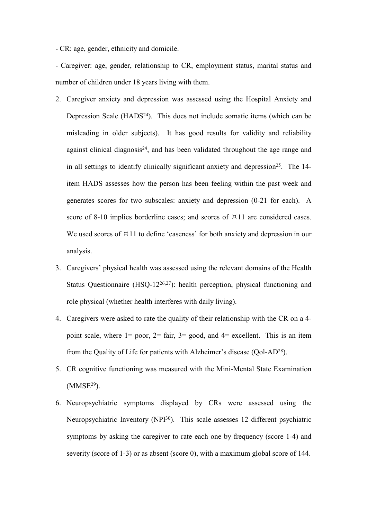- CR: age, gender, ethnicity and domicile.

- Caregiver: age, gender, relationship to CR, employment status, marital status and number of children under 18 years living with them.

- 2. Caregiver anxiety and depression was assessed using the Hospital Anxiety and Depression Scale  $(HADS<sup>24</sup>)$ . This does not include somatic items (which can be misleading in older subjects). It has good results for validity and reliability against clinical diagnosis<sup>24</sup>, and has been validated throughout the age range and in all settings to identify clinically significant anxiety and depression<sup>25</sup>. The 14item HADS assesses how the person has been feeling within the past week and generates scores for two subscales: anxiety and depression (0-21 for each). A score of 8-10 implies borderline cases; and scores of  $\approx$  11 are considered cases. We used scores of  $\frac{111}{11}$  to define 'caseness' for both anxiety and depression in our analysis.
- 3. Caregivers' physical health was assessed using the relevant domains of the Health Status Questionnaire (HSQ-1226,27): health perception, physical functioning and role physical (whether health interferes with daily living).
- 4. Caregivers were asked to rate the quality of their relationship with the CR on a 4 point scale, where  $1=$  poor,  $2=$  fair,  $3=$  good, and  $4=$  excellent. This is an item from the Quality of Life for patients with Alzheimer's disease (Qol-AD<sup>28</sup>).
- 5. CR cognitive functioning was measured with the Mini-Mental State Examination  $(MMSE<sup>29</sup>)$ .
- 6. Neuropsychiatric symptoms displayed by CRs were assessed using the Neuropsychiatric Inventory (NPI<sup>30</sup>). This scale assesses 12 different psychiatric symptoms by asking the caregiver to rate each one by frequency (score 1-4) and severity (score of 1-3) or as absent (score 0), with a maximum global score of 144.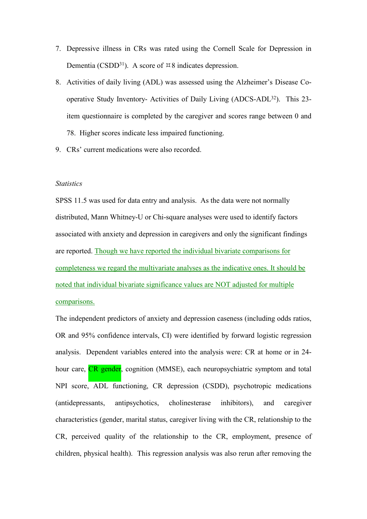- 7. Depressive illness in CRs was rated using the Cornell Scale for Depression in Dementia (CSDD<sup>31</sup>). A score of  $\approx 8$  indicates depression.
- 8. Activities of daily living (ADL) was assessed using the Alzheimer's Disease Cooperative Study Inventory- Activities of Daily Living (ADCS-ADL<sup>32</sup>). This 23 item questionnaire is completed by the caregiver and scores range between 0 and 78. Higher scores indicate less impaired functioning.
- 9. CRs' current medications were also recorded.

#### **Statistics**

SPSS 11.5 was used for data entry and analysis. As the data were not normally distributed, Mann Whitney-U or Chi-square analyses were used to identify factors associated with anxiety and depression in caregivers and only the significant findings are reported. Though we have reported the individual bivariate comparisons for completeness we regard the multivariate analyses as the indicative ones. It should be noted that individual bivariate significance values are NOT adjusted for multiple comparisons.

The independent predictors of anxiety and depression caseness (including odds ratios, OR and 95% confidence intervals, CI) were identified by forward logistic regression analysis. Dependent variables entered into the analysis were: CR at home or in 24 hour care, **CR** gender, cognition (MMSE), each neuropsychiatric symptom and total NPI score, ADL functioning, CR depression (CSDD), psychotropic medications (antidepressants, antipsychotics, cholinesterase inhibitors), and caregiver characteristics (gender, marital status, caregiver living with the CR, relationship to the CR, perceived quality of the relationship to the CR, employment, presence of children, physical health). This regression analysis was also rerun after removing the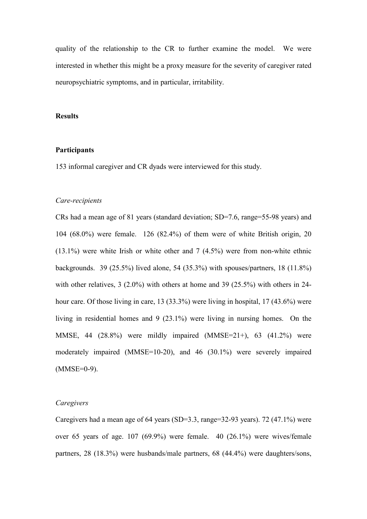quality of the relationship to the CR to further examine the model. We were interested in whether this might be a proxy measure for the severity of caregiver rated neuropsychiatric symptoms, and in particular, irritability.

### Results

## **Participants**

153 informal caregiver and CR dyads were interviewed for this study.

#### Care-recipients

CRs had a mean age of 81 years (standard deviation; SD=7.6, range=55-98 years) and 104 (68.0%) were female. 126 (82.4%) of them were of white British origin, 20  $(13.1\%)$  were white Irish or white other and 7  $(4.5\%)$  were from non-white ethnic backgrounds. 39 (25.5%) lived alone, 54 (35.3%) with spouses/partners, 18 (11.8%) with other relatives, 3 (2.0%) with others at home and 39 (25.5%) with others in 24hour care. Of those living in care, 13 (33.3%) were living in hospital, 17 (43.6%) were living in residential homes and 9 (23.1%) were living in nursing homes. On the MMSE, 44 (28.8%) were mildly impaired (MMSE=21+), 63 (41.2%) were moderately impaired (MMSE=10-20), and 46 (30.1%) were severely impaired  $(MMSE=0-9)$ .

## *Caregivers*

Caregivers had a mean age of 64 years (SD=3.3, range=32-93 years). 72 (47.1%) were over 65 years of age. 107 (69.9%) were female. 40 (26.1%) were wives/female partners, 28 (18.3%) were husbands/male partners, 68 (44.4%) were daughters/sons,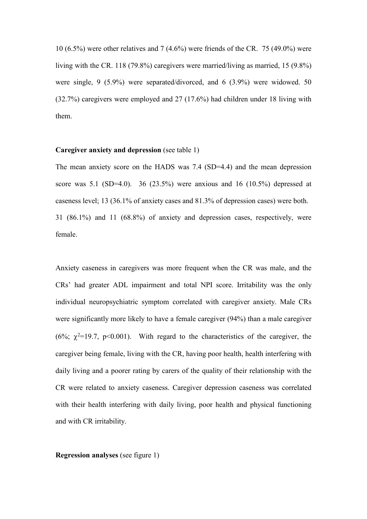10 (6.5%) were other relatives and 7 (4.6%) were friends of the CR. 75 (49.0%) were living with the CR. 118 (79.8%) caregivers were married/living as married, 15 (9.8%) were single, 9 (5.9%) were separated/divorced, and 6 (3.9%) were widowed. 50 (32.7%) caregivers were employed and 27 (17.6%) had children under 18 living with them.

#### Caregiver anxiety and depression (see table 1)

The mean anxiety score on the HADS was 7.4 (SD=4.4) and the mean depression score was 5.1 (SD=4.0). 36 (23.5%) were anxious and 16 (10.5%) depressed at caseness level; 13 (36.1% of anxiety cases and 81.3% of depression cases) were both. 31 (86.1%) and 11 (68.8%) of anxiety and depression cases, respectively, were female.

Anxiety caseness in caregivers was more frequent when the CR was male, and the CRs' had greater ADL impairment and total NPI score. Irritability was the only individual neuropsychiatric symptom correlated with caregiver anxiety. Male CRs were significantly more likely to have a female caregiver (94%) than a male caregiver (6%;  $\chi^2$ =19.7, p<0.001). With regard to the characteristics of the caregiver, the caregiver being female, living with the CR, having poor health, health interfering with daily living and a poorer rating by carers of the quality of their relationship with the CR were related to anxiety caseness. Caregiver depression caseness was correlated with their health interfering with daily living, poor health and physical functioning and with CR irritability.

Regression analyses (see figure 1)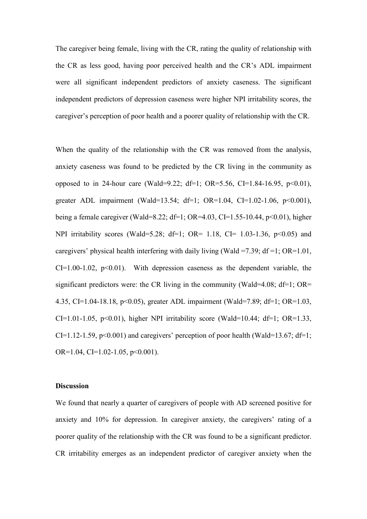The caregiver being female, living with the CR, rating the quality of relationship with the CR as less good, having poor perceived health and the CR's ADL impairment were all significant independent predictors of anxiety caseness. The significant independent predictors of depression caseness were higher NPI irritability scores, the caregiver's perception of poor health and a poorer quality of relationship with the CR.

When the quality of the relationship with the CR was removed from the analysis, anxiety caseness was found to be predicted by the CR living in the community as opposed to in 24-hour care (Wald=9.22; df=1; OR=5.56, CI=1.84-16.95,  $p<0.01$ ), greater ADL impairment (Wald=13.54; df=1; OR=1.04, CI=1.02-1.06, p<0.001), being a female caregiver (Wald=8.22; df=1; OR=4.03, CI=1.55-10.44,  $p<0.01$ ), higher NPI irritability scores (Wald=5.28; df=1; OR= 1.18, CI= 1.03-1.36,  $p<0.05$ ) and caregivers' physical health interfering with daily living (Wald =7.39;  $df = 1$ ; OR=1.01,  $CI=1.00-1.02$ ,  $p<0.01$ ). With depression caseness as the dependent variable, the significant predictors were: the CR living in the community (Wald=4.08;  $df=1$ ; OR= 4.35, CI=1.04-18.18, p<0.05), greater ADL impairment (Wald=7.89; df=1; OR=1.03, CI=1.01-1.05, p<0.01), higher NPI irritability score (Wald=10.44; df=1; OR=1.33,  $CI=1.12-1.59$ ,  $p<0.001$ ) and caregivers' perception of poor health (Wald=13.67; df=1; OR= $1.04$ , CI= $1.02-1.05$ , p< $0.001$ ).

#### **Discussion**

We found that nearly a quarter of caregivers of people with AD screened positive for anxiety and 10% for depression. In caregiver anxiety, the caregivers' rating of a poorer quality of the relationship with the CR was found to be a significant predictor. CR irritability emerges as an independent predictor of caregiver anxiety when the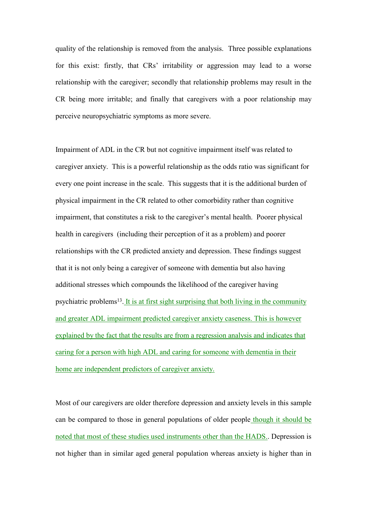quality of the relationship is removed from the analysis. Three possible explanations for this exist: firstly, that CRs' irritability or aggression may lead to a worse relationship with the caregiver; secondly that relationship problems may result in the CR being more irritable; and finally that caregivers with a poor relationship may perceive neuropsychiatric symptoms as more severe.

Impairment of ADL in the CR but not cognitive impairment itself was related to caregiver anxiety. This is a powerful relationship as the odds ratio was significant for every one point increase in the scale. This suggests that it is the additional burden of physical impairment in the CR related to other comorbidity rather than cognitive impairment, that constitutes a risk to the caregiver's mental health. Poorer physical health in caregivers (including their perception of it as a problem) and poorer relationships with the CR predicted anxiety and depression. These findings suggest that it is not only being a caregiver of someone with dementia but also having additional stresses which compounds the likelihood of the caregiver having psychiatric problems<sup>13</sup>. It is at first sight surprising that both living in the community and greater ADL impairment predicted caregiver anxiety caseness. This is however explained by the fact that the results are from a regression analysis and indicates that caring for a person with high ADL and caring for someone with dementia in their home are independent predictors of caregiver anxiety.

Most of our caregivers are older therefore depression and anxiety levels in this sample can be compared to those in general populations of older people though it should be noted that most of these studies used instruments other than the HADS.. Depression is not higher than in similar aged general population whereas anxiety is higher than in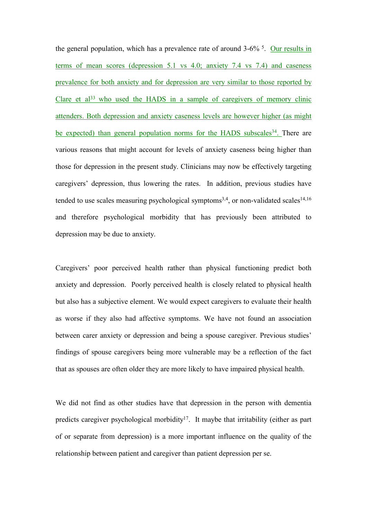the general population, which has a prevalence rate of around 3-6% <sup>5</sup>. Our results in terms of mean scores (depression 5.1 vs 4.0; anxiety 7.4 vs 7.4) and caseness prevalence for both anxiety and for depression are very similar to those reported by Clare et al<sup>33</sup> who used the HADS in a sample of caregivers of memory clinic attenders. Both depression and anxiety caseness levels are however higher (as might be expected) than general population norms for the HADS subscales<sup>34</sup>. There are various reasons that might account for levels of anxiety caseness being higher than those for depression in the present study. Clinicians may now be effectively targeting caregivers' depression, thus lowering the rates. In addition, previous studies have tended to use scales measuring psychological symptoms<sup>3,4</sup>, or non-validated scales<sup>14,16</sup> and therefore psychological morbidity that has previously been attributed to depression may be due to anxiety.

Caregivers' poor perceived health rather than physical functioning predict both anxiety and depression. Poorly perceived health is closely related to physical health but also has a subjective element. We would expect caregivers to evaluate their health as worse if they also had affective symptoms. We have not found an association between carer anxiety or depression and being a spouse caregiver. Previous studies' findings of spouse caregivers being more vulnerable may be a reflection of the fact that as spouses are often older they are more likely to have impaired physical health.

We did not find as other studies have that depression in the person with dementia predicts caregiver psychological morbidity<sup>17</sup>. It maybe that irritability (either as part of or separate from depression) is a more important influence on the quality of the relationship between patient and caregiver than patient depression per se.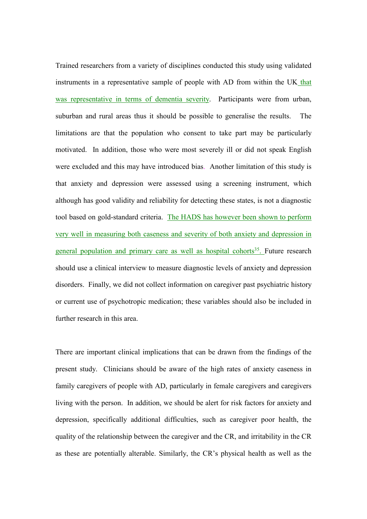Trained researchers from a variety of disciplines conducted this study using validated instruments in a representative sample of people with AD from within the UK that was representative in terms of dementia severity. Participants were from urban, suburban and rural areas thus it should be possible to generalise the results. The limitations are that the population who consent to take part may be particularly motivated. In addition, those who were most severely ill or did not speak English were excluded and this may have introduced bias. Another limitation of this study is that anxiety and depression were assessed using a screening instrument, which although has good validity and reliability for detecting these states, is not a diagnostic tool based on gold-standard criteria. The HADS has however been shown to perform very well in measuring both caseness and severity of both anxiety and depression in general population and primary care as well as hospital cohorts<sup>35</sup>. Future research should use a clinical interview to measure diagnostic levels of anxiety and depression disorders. Finally, we did not collect information on caregiver past psychiatric history or current use of psychotropic medication; these variables should also be included in further research in this area.

There are important clinical implications that can be drawn from the findings of the present study. Clinicians should be aware of the high rates of anxiety caseness in family caregivers of people with AD, particularly in female caregivers and caregivers living with the person. In addition, we should be alert for risk factors for anxiety and depression, specifically additional difficulties, such as caregiver poor health, the quality of the relationship between the caregiver and the CR, and irritability in the CR as these are potentially alterable. Similarly, the CR's physical health as well as the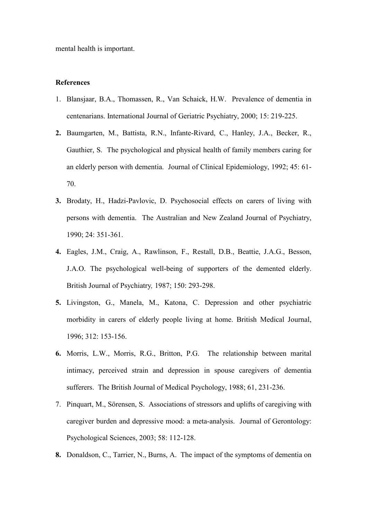mental health is important.

## References

- 1. Blansjaar, B.A., Thomassen, R., Van Schaick, H.W. Prevalence of dementia in centenarians. International Journal of Geriatric Psychiatry, 2000; 15: 219-225.
- 2. Baumgarten, M., Battista, R.N., Infante-Rivard, C., Hanley, J.A., Becker, R., Gauthier, S. The psychological and physical health of family members caring for an elderly person with dementia. Journal of Clinical Epidemiology, 1992; 45: 61- 70.
- 3. Brodaty, H., Hadzi-Pavlovic, D. Psychosocial effects on carers of living with persons with dementia. The Australian and New Zealand Journal of Psychiatry, 1990; 24: 351-361.
- 4. Eagles, J.M., Craig, A., Rawlinson, F., Restall, D.B., Beattie, J.A.G., Besson, J.A.O. The psychological well-being of supporters of the demented elderly. British Journal of Psychiatry, 1987; 150: 293-298.
- 5. Livingston, G., Manela, M., Katona, C. Depression and other psychiatric morbidity in carers of elderly people living at home. British Medical Journal, 1996; 312: 153-156.
- 6. Morris, L.W., Morris, R.G., Britton, P.G. The relationship between marital intimacy, perceived strain and depression in spouse caregivers of dementia sufferers. The British Journal of Medical Psychology, 1988; 61, 231-236.
- 7. Pinquart, M., Sörensen, S. Associations of stressors and uplifts of caregiving with caregiver burden and depressive mood: a meta-analysis. Journal of Gerontology: Psychological Sciences, 2003; 58: 112-128.
- 8. Donaldson, C., Tarrier, N., Burns, A. The impact of the symptoms of dementia on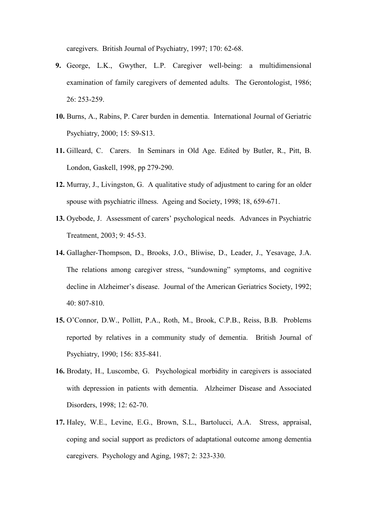caregivers. British Journal of Psychiatry, 1997; 170: 62-68.

- 9. George, L.K., Gwyther, L.P. Caregiver well-being: a multidimensional examination of family caregivers of demented adults. The Gerontologist, 1986; 26: 253-259.
- 10. Burns, A., Rabins, P. Carer burden in dementia. International Journal of Geriatric Psychiatry, 2000; 15: S9-S13.
- 11. Gilleard, C. Carers. In Seminars in Old Age. Edited by Butler, R., Pitt, B. London, Gaskell, 1998, pp 279-290.
- 12. Murray, J., Livingston, G. A qualitative study of adjustment to caring for an older spouse with psychiatric illness. Ageing and Society, 1998; 18, 659-671.
- 13. Oyebode, J. Assessment of carers' psychological needs. Advances in Psychiatric Treatment, 2003; 9: 45-53.
- 14. Gallagher-Thompson, D., Brooks, J.O., Bliwise, D., Leader, J., Yesavage, J.A. The relations among caregiver stress, "sundowning" symptoms, and cognitive decline in Alzheimer's disease. Journal of the American Geriatrics Society, 1992; 40: 807-810.
- 15. O'Connor, D.W., Pollitt, P.A., Roth, M., Brook, C.P.B., Reiss, B.B. Problems reported by relatives in a community study of dementia. British Journal of Psychiatry, 1990; 156: 835-841.
- 16. Brodaty, H., Luscombe, G. Psychological morbidity in caregivers is associated with depression in patients with dementia. Alzheimer Disease and Associated Disorders, 1998; 12: 62-70.
- 17. Haley, W.E., Levine, E.G., Brown, S.L., Bartolucci, A.A. Stress, appraisal, coping and social support as predictors of adaptational outcome among dementia caregivers. Psychology and Aging, 1987; 2: 323-330.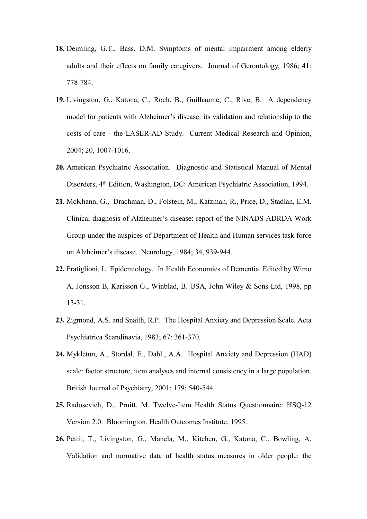- 18. Deimling, G.T., Bass, D.M. Symptoms of mental impairment among elderly adults and their effects on family caregivers. Journal of Gerontology, 1986; 41: 778-784.
- 19. Livingston, G., Katona, C., Roch, B., Guilhaume, C., Rive, B. A dependency model for patients with Alzheimer's disease: its validation and relationship to the costs of care - the LASER-AD Study. Current Medical Research and Opinion, 2004; 20, 1007-1016.
- 20. American Psychiatric Association. Diagnostic and Statistical Manual of Mental Disorders, 4th Edition, Washington, DC: American Psychiatric Association, 1994.
- 21. McKhann, G., Drachman, D., Folstein, M., Katzman, R., Price, D., Stadlan, E.M. Clinical diagnosis of Alzheimer's disease: report of the NINADS-ADRDA Work Group under the auspices of Department of Health and Human services task force on Alzheimer's disease. Neurology, 1984; 34, 939-944.
- 22. Fratiglioni, L. Epidemiology. In Health Economics of Dementia. Edited by Wimo A, Jonsson B, Karisson G., Winblad, B. USA, John Wiley & Sons Ltd, 1998, pp 13-31.
- 23. Zigmond, A.S. and Snaith, R.P. The Hospital Anxiety and Depression Scale. Acta Psychiatrica Scandinavia, 1983; 67: 361-370.
- 24. Mykletun, A., Stordal, E., Dahl., A.A. Hospital Anxiety and Depression (HAD) scale: factor structure, item analyses and internal consistency in a large population. British Journal of Psychiatry, 2001; 179: 540-544.
- 25. Radosevich, D., Pruitt, M. Twelve-Item Health Status Questionnaire: HSQ-12 Version 2.0. Bloomington, Health Outcomes Institute, 1995.
- 26. Pettit, T., Livingston, G., Manela, M., Kitchen, G., Katona, C., Bowling, A. Validation and normative data of health status measures in older people: the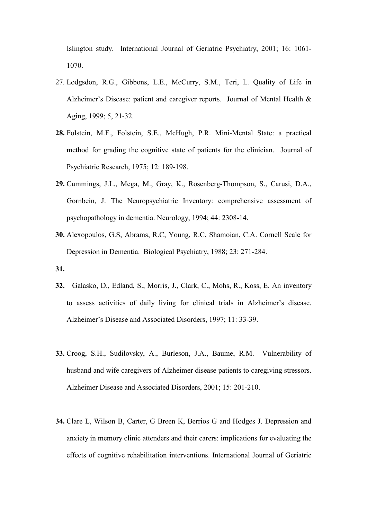Islington study. International Journal of Geriatric Psychiatry, 2001; 16: 1061- 1070.

- 27. Lodgsdon, R.G., Gibbons, L.E., McCurry, S.M., Teri, L. Quality of Life in Alzheimer's Disease: patient and caregiver reports. Journal of Mental Health & Aging, 1999; 5, 21-32.
- 28. Folstein, M.F., Folstein, S.E., McHugh, P.R. Mini-Mental State: a practical method for grading the cognitive state of patients for the clinician. Journal of Psychiatric Research, 1975; 12: 189-198.
- 29. Cummings, J.L., Mega, M., Gray, K., Rosenberg-Thompson, S., Carusi, D.A., Gornbein, J. The Neuropsychiatric Inventory: comprehensive assessment of psychopathology in dementia. Neurology, 1994; 44: 2308-14.
- 30. Alexopoulos, G.S, Abrams, R.C, Young, R.C, Shamoian, C.A. Cornell Scale for Depression in Dementia. Biological Psychiatry, 1988; 23: 271-284.
- 31.
- 32. Galasko, D., Edland, S., Morris, J., Clark, C., Mohs, R., Koss, E. An inventory to assess activities of daily living for clinical trials in Alzheimer's disease. Alzheimer's Disease and Associated Disorders, 1997; 11: 33-39.
- 33. Croog, S.H., Sudilovsky, A., Burleson, J.A., Baume, R.M. Vulnerability of husband and wife caregivers of Alzheimer disease patients to caregiving stressors. Alzheimer Disease and Associated Disorders, 2001; 15: 201-210.
- 34. Clare L, Wilson B, Carter, G Breen K, Berrios G and Hodges J. Depression and anxiety in memory clinic attenders and their carers: implications for evaluating the effects of cognitive rehabilitation interventions. International Journal of Geriatric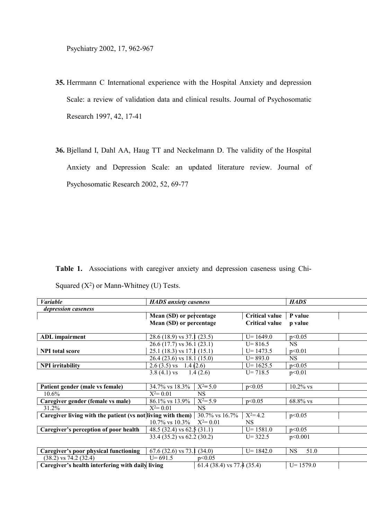Psychiatry 2002, 17, 962-967

- 35. Herrmann C International experience with the Hospital Anxiety and depression Scale: a review of validation data and clinical results. Journal of Psychosomatic Research 1997, 42, 17-41
- 36. Bjelland I, Dahl AA, Haug TT and Neckelmann D. The validity of the Hospital Anxiety and Depression Scale: an updated literature review. Journal of Psychosomatic Research 2002, 52, 69-77

Table 1. Associations with caregiver anxiety and depression caseness using Chi-Squared  $(X^2)$  or Mann-Whitney (U) Tests.

| <b>Variable</b>                                             | <b>HADS</b> anxiety caseness      |                            | <b>HADS</b>           |                   |  |  |  |  |
|-------------------------------------------------------------|-----------------------------------|----------------------------|-----------------------|-------------------|--|--|--|--|
| depression caseness                                         |                                   |                            |                       |                   |  |  |  |  |
|                                                             | Mean (SD) or percentage           |                            | <b>Critical value</b> | P value           |  |  |  |  |
|                                                             | Mean (SD) or percentage           |                            | <b>Critical value</b> | p value           |  |  |  |  |
|                                                             |                                   |                            |                       |                   |  |  |  |  |
| <b>ADL</b> impairment                                       | 28.6 (18.9) vs $37.1$ (23.5)      |                            | $U = 1649.0$          | p<0.05            |  |  |  |  |
|                                                             | $26.6(17.7)$ vs $36.1(23.1)$      |                            | $U = 816.5$           | <b>NS</b>         |  |  |  |  |
| <b>NPI</b> total score                                      | $25.1(18.3)$ vs 17.1 $(15.1)$     |                            | $U = 1473.5$          | p<0.01            |  |  |  |  |
|                                                             | $26.4(23.6)$ vs 18.1 (15.0)       |                            | $U = 893.0$           | NS.               |  |  |  |  |
| <b>NPI</b> irritability                                     | 2.6 (3.5) vs 1.4 (2.6)            |                            | $U = 1625.5$          | p<0.05            |  |  |  |  |
|                                                             | $3.8(4.1)$ vs                     | 1.4(2.6)                   | $U = 718.5$           | p<0.01            |  |  |  |  |
|                                                             |                                   |                            |                       |                   |  |  |  |  |
| Patient gender (male vs female)                             | 34.7% vs 18.3%                    | $X^2 = 5.0$                | p<0.05                | $10.2\%$ vs       |  |  |  |  |
| $10.6\%$                                                    | $X^2 = 0.01$                      | <b>NS</b>                  |                       |                   |  |  |  |  |
| Caregiver gender (female vs male)                           | 86.1% vs 13.9%                    | $X^2 = 5.9$                | p<0.05                | 68.8% vs          |  |  |  |  |
| 31.2%                                                       | $X^2 = 0.01$                      | <b>NS</b>                  |                       |                   |  |  |  |  |
| Caregiver living with the patient (vs not living with them) |                                   | 30.7% vs 16.7%             | $X^2 = 4.2$           | p<0.05            |  |  |  |  |
|                                                             | $10.7\%$ vs $10.3\%$ $X^2 = 0.01$ |                            | NS.                   |                   |  |  |  |  |
| Caregiver's perception of poor health                       | 48.5 (32.4) vs $62.5$ (31.1)      |                            | $U = 1581.0$          | p<0.05            |  |  |  |  |
|                                                             | 33.4 (35.2) vs 62.2 (30.2)        |                            | $U = 322.5$           | p<0.001           |  |  |  |  |
|                                                             |                                   |                            |                       |                   |  |  |  |  |
| Caregiver's poor physical functioning                       | $67.6$ (32.6) vs 73.1             | (34.0)                     | $U = 1842.0$          | 51.0<br><b>NS</b> |  |  |  |  |
| $(38.2)$ vs 74.2 $(32.4)$                                   | $U = 691.5$                       | p<0.05                     |                       |                   |  |  |  |  |
| Caregiver's health interfering with daily living            |                                   | 61.4 (38.4) vs 77.4 (35.4) |                       | $U = 1579.0$      |  |  |  |  |